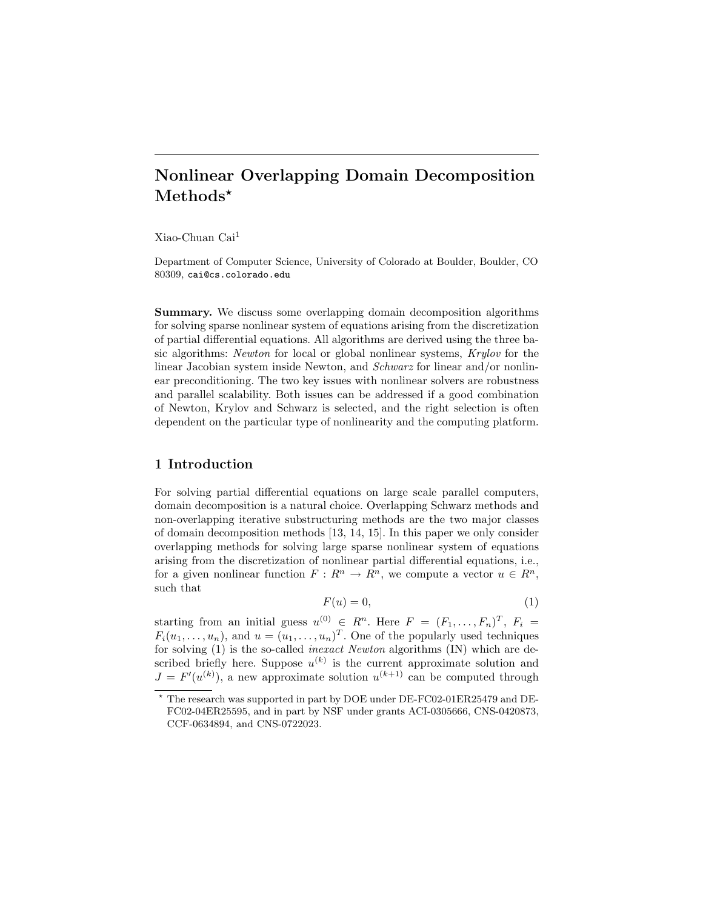# Nonlinear Overlapping Domain Decomposition Methods\*

Xiao-Chuan Cai<sup>1</sup>

Department of Computer Science, University of Colorado at Boulder, Boulder, CO 80309, cai@cs.colorado.edu

Summary. We discuss some overlapping domain decomposition algorithms for solving sparse nonlinear system of equations arising from the discretization of partial differential equations. All algorithms are derived using the three basic algorithms: Newton for local or global nonlinear systems, Krylov for the linear Jacobian system inside Newton, and *Schwarz* for linear and/or nonlinear preconditioning. The two key issues with nonlinear solvers are robustness and parallel scalability. Both issues can be addressed if a good combination of Newton, Krylov and Schwarz is selected, and the right selection is often dependent on the particular type of nonlinearity and the computing platform.

# 1 Introduction

For solving partial differential equations on large scale parallel computers, domain decomposition is a natural choice. Overlapping Schwarz methods and non-overlapping iterative substructuring methods are the two major classes of domain decomposition methods [13, 14, 15]. In this paper we only consider overlapping methods for solving large sparse nonlinear system of equations arising from the discretization of nonlinear partial differential equations, i.e., for a given nonlinear function  $F: R^n \to R^n$ , we compute a vector  $u \in R^n$ , such that

$$
F(u) = 0,\t\t(1)
$$

starting from an initial guess  $u^{(0)} \in R^n$ . Here  $F = (F_1, \ldots, F_n)^T$ ,  $F_i =$  $F_i(u_1,\ldots,u_n)$ , and  $u=(u_1,\ldots,u_n)^T$ . One of the popularly used techniques for solving (1) is the so-called inexact Newton algorithms (IN) which are described briefly here. Suppose  $u^{(k)}$  is the current approximate solution and  $J = F'(u^{(k)})$ , a new approximate solution  $u^{(k+1)}$  can be computed through

 $^\star$  The research was supported in part by DOE under DE-FC02-01ER25479 and DE-FC02-04ER25595, and in part by NSF under grants ACI-0305666, CNS-0420873, CCF-0634894, and CNS-0722023.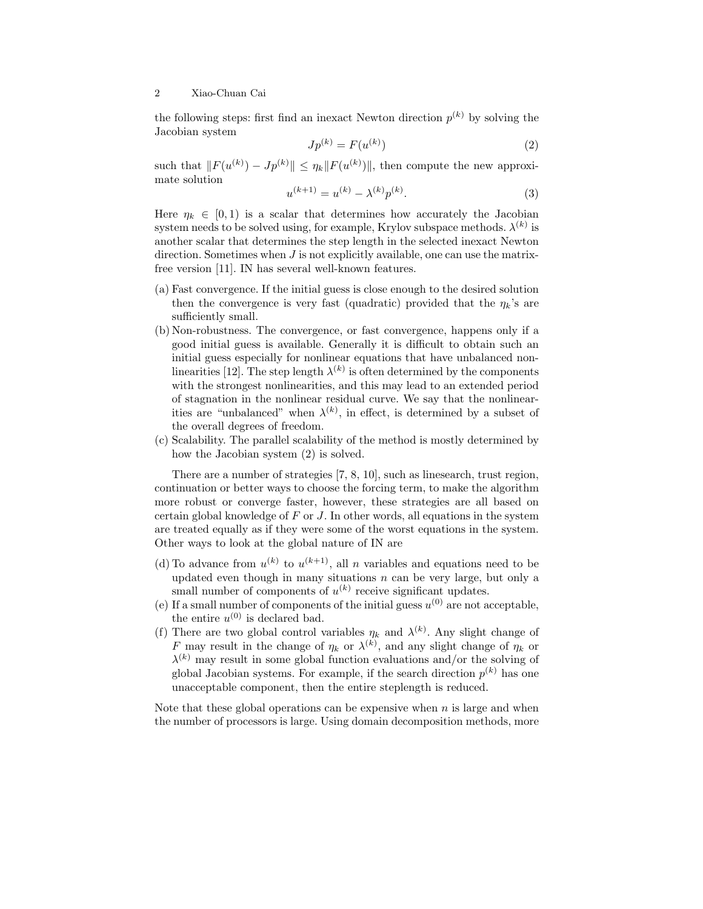the following steps: first find an inexact Newton direction  $p^{(k)}$  by solving the Jacobian system

$$
Jp^{(k)} = F(u^{(k)})
$$
 (2)

such that  $||F(u^{(k)}) - Jp^{(k)}|| \leq \eta_k ||F(u^{(k)})||$ , then compute the new approximate solution

$$
u^{(k+1)} = u^{(k)} - \lambda^{(k)} p^{(k)}.
$$
\n(3)

Here  $\eta_k \in [0,1)$  is a scalar that determines how accurately the Jacobian system needs to be solved using, for example, Krylov subspace methods.  $\lambda^{(k)}$  is another scalar that determines the step length in the selected inexact Newton direction. Sometimes when  $J$  is not explicitly available, one can use the matrixfree version [11]. IN has several well-known features.

- (a) Fast convergence. If the initial guess is close enough to the desired solution then the convergence is very fast (quadratic) provided that the  $\eta_k$ 's are sufficiently small.
- (b) Non-robustness. The convergence, or fast convergence, happens only if a good initial guess is available. Generally it is difficult to obtain such an initial guess especially for nonlinear equations that have unbalanced nonlinearities [12]. The step length  $\lambda^{(k)}$  is often determined by the components with the strongest nonlinearities, and this may lead to an extended period of stagnation in the nonlinear residual curve. We say that the nonlinearities are "unbalanced" when  $\lambda^{(k)}$ , in effect, is determined by a subset of the overall degrees of freedom.
- (c) Scalability. The parallel scalability of the method is mostly determined by how the Jacobian system (2) is solved.

There are a number of strategies [7, 8, 10], such as linesearch, trust region, continuation or better ways to choose the forcing term, to make the algorithm more robust or converge faster, however, these strategies are all based on certain global knowledge of  $F$  or  $J$ . In other words, all equations in the system are treated equally as if they were some of the worst equations in the system. Other ways to look at the global nature of IN are

- (d) To advance from  $u^{(k)}$  to  $u^{(k+1)}$ , all n variables and equations need to be updated even though in many situations  $n$  can be very large, but only a small number of components of  $u^{(k)}$  receive significant updates.
- (e) If a small number of components of the initial guess  $u^{(0)}$  are not acceptable, the entire  $u^{(0)}$  is declared bad.
- (f) There are two global control variables  $\eta_k$  and  $\lambda^{(k)}$ . Any slight change of F may result in the change of  $\eta_k$  or  $\lambda^{(k)}$ , and any slight change of  $\eta_k$  or  $\lambda^{(k)}$  may result in some global function evaluations and/or the solving of global Jacobian systems. For example, if the search direction  $p^{(k)}$  has one unacceptable component, then the entire steplength is reduced.

Note that these global operations can be expensive when  $n$  is large and when the number of processors is large. Using domain decomposition methods, more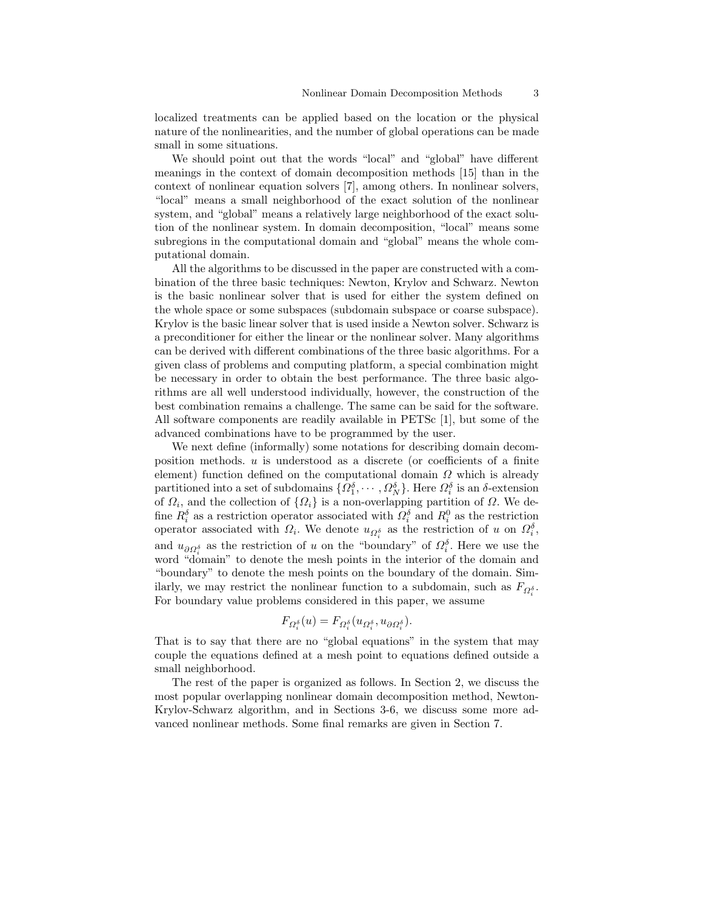localized treatments can be applied based on the location or the physical nature of the nonlinearities, and the number of global operations can be made small in some situations.

We should point out that the words "local" and "global" have different meanings in the context of domain decomposition methods [15] than in the context of nonlinear equation solvers [7], among others. In nonlinear solvers, "local" means a small neighborhood of the exact solution of the nonlinear system, and "global" means a relatively large neighborhood of the exact solution of the nonlinear system. In domain decomposition, "local" means some subregions in the computational domain and "global" means the whole computational domain.

All the algorithms to be discussed in the paper are constructed with a combination of the three basic techniques: Newton, Krylov and Schwarz. Newton is the basic nonlinear solver that is used for either the system defined on the whole space or some subspaces (subdomain subspace or coarse subspace). Krylov is the basic linear solver that is used inside a Newton solver. Schwarz is a preconditioner for either the linear or the nonlinear solver. Many algorithms can be derived with different combinations of the three basic algorithms. For a given class of problems and computing platform, a special combination might be necessary in order to obtain the best performance. The three basic algorithms are all well understood individually, however, the construction of the best combination remains a challenge. The same can be said for the software. All software components are readily available in PETSc [1], but some of the advanced combinations have to be programmed by the user.

We next define (informally) some notations for describing domain decomposition methods.  $u$  is understood as a discrete (or coefficients of a finite element) function defined on the computational domain  $\Omega$  which is already partitioned into a set of subdomains  $\{\Omega_1^{\delta}, \cdots, \Omega_N^{\delta}\}\$ . Here  $\Omega_i^{\delta}$  is an  $\delta$ -extension of  $\Omega_i$ , and the collection of  $\{\Omega_i\}$  is a non-overlapping partition of  $\Omega$ . We define  $R_i^{\delta}$  as a restriction operator associated with  $\Omega_i^{\delta}$  and  $R_i^0$  as the restriction operator associated with  $\Omega_i$ . We denote  $u_{\Omega_i^{\delta}}$  as the restriction of u on  $\Omega_i^{\delta}$ , and  $u_{\partial \Omega_i^{\delta}}$  as the restriction of u on the "boundary" of  $\Omega_i^{\delta}$ . Here we use the word "domain" to denote the mesh points in the interior of the domain and "boundary" to denote the mesh points on the boundary of the domain. Similarly, we may restrict the nonlinear function to a subdomain, such as  $F_{\Omega_i^{\delta}}$ . For boundary value problems considered in this paper, we assume

$$
F_{\Omega_i^{\delta}}(u) = F_{\Omega_i^{\delta}}(u_{\Omega_i^{\delta}}, u_{\partial \Omega_i^{\delta}}).
$$

That is to say that there are no "global equations" in the system that may couple the equations defined at a mesh point to equations defined outside a small neighborhood.

The rest of the paper is organized as follows. In Section 2, we discuss the most popular overlapping nonlinear domain decomposition method, Newton-Krylov-Schwarz algorithm, and in Sections 3-6, we discuss some more advanced nonlinear methods. Some final remarks are given in Section 7.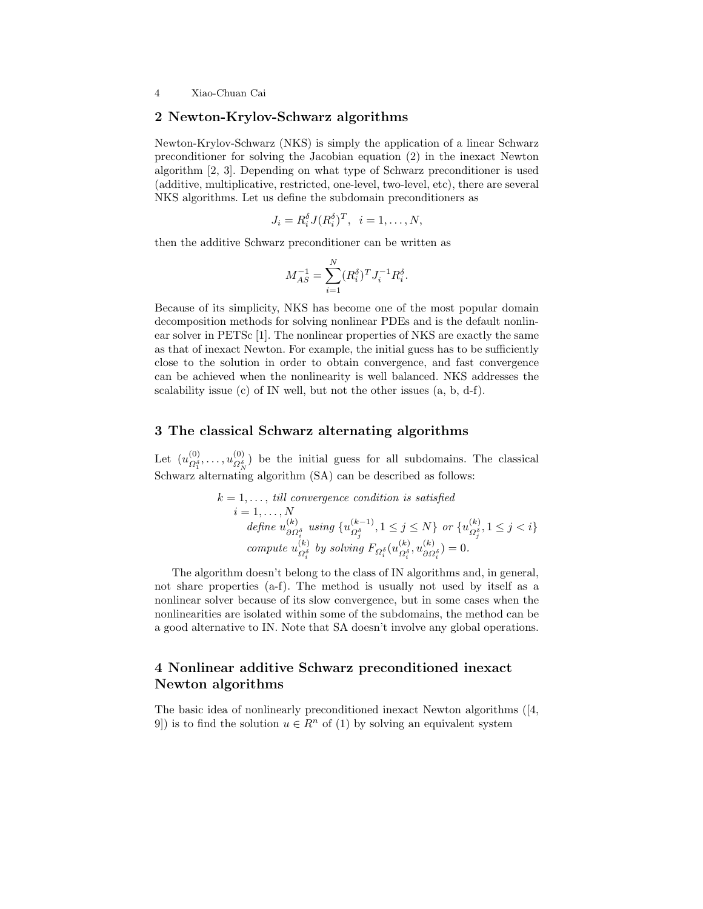#### 2 Newton-Krylov-Schwarz algorithms

Newton-Krylov-Schwarz (NKS) is simply the application of a linear Schwarz preconditioner for solving the Jacobian equation (2) in the inexact Newton algorithm [2, 3]. Depending on what type of Schwarz preconditioner is used (additive, multiplicative, restricted, one-level, two-level, etc), there are several NKS algorithms. Let us define the subdomain preconditioners as

$$
J_i = R_i^{\delta} J (R_i^{\delta})^T, \quad i = 1, \dots, N,
$$

then the additive Schwarz preconditioner can be written as

$$
M_{AS}^{-1} = \sum_{i=1}^{N} (R_i^{\delta})^T J_i^{-1} R_i^{\delta}.
$$

Because of its simplicity, NKS has become one of the most popular domain decomposition methods for solving nonlinear PDEs and is the default nonlinear solver in PETSc [1]. The nonlinear properties of NKS are exactly the same as that of inexact Newton. For example, the initial guess has to be sufficiently close to the solution in order to obtain convergence, and fast convergence can be achieved when the nonlinearity is well balanced. NKS addresses the scalability issue (c) of IN well, but not the other issues (a, b, d-f).

# 3 The classical Schwarz alternating algorithms

Let  $(u_{\Omega^{\delta}}^{(0)}$  $\overline{\Omega_1^{\delta}}, \ldots, \overline{\mathcal{U}}_{\Omega_{\Lambda}^{\delta}}^{(0)}$  $\mathcal{Q}_{N}^{(0)}$  be the initial guess for all subdomains. The classical Schwarz alternating algorithm (SA) can be described as follows:

$$
k = 1, \ldots, \text{ till convergence condition is satisfied}
$$
  
\n
$$
i = 1, \ldots, N
$$
  
\n
$$
\text{define } u_{\partial \Omega_i^{\delta}}^{(k)} \text{ using } \{u_{\Omega_j^{\delta}}^{(k-1)}, 1 \le j \le N\} \text{ or } \{u_{\Omega_j^{\delta}}^{(k)}, 1 \le j < i\}
$$
  
\n
$$
\text{compute } u_{\Omega_i^{\delta}}^{(k)} \text{ by solving } F_{\Omega_i^{\delta}}(u_{\Omega_i^{\delta}}^{(k)}, u_{\partial \Omega_i^{\delta}}^{(k)}) = 0.
$$

The algorithm doesn't belong to the class of IN algorithms and, in general, not share properties (a-f). The method is usually not used by itself as a nonlinear solver because of its slow convergence, but in some cases when the nonlinearities are isolated within some of the subdomains, the method can be a good alternative to IN. Note that SA doesn't involve any global operations.

# 4 Nonlinear additive Schwarz preconditioned inexact Newton algorithms

The basic idea of nonlinearly preconditioned inexact Newton algorithms ([4, 9) is to find the solution  $u \in \mathbb{R}^n$  of (1) by solving an equivalent system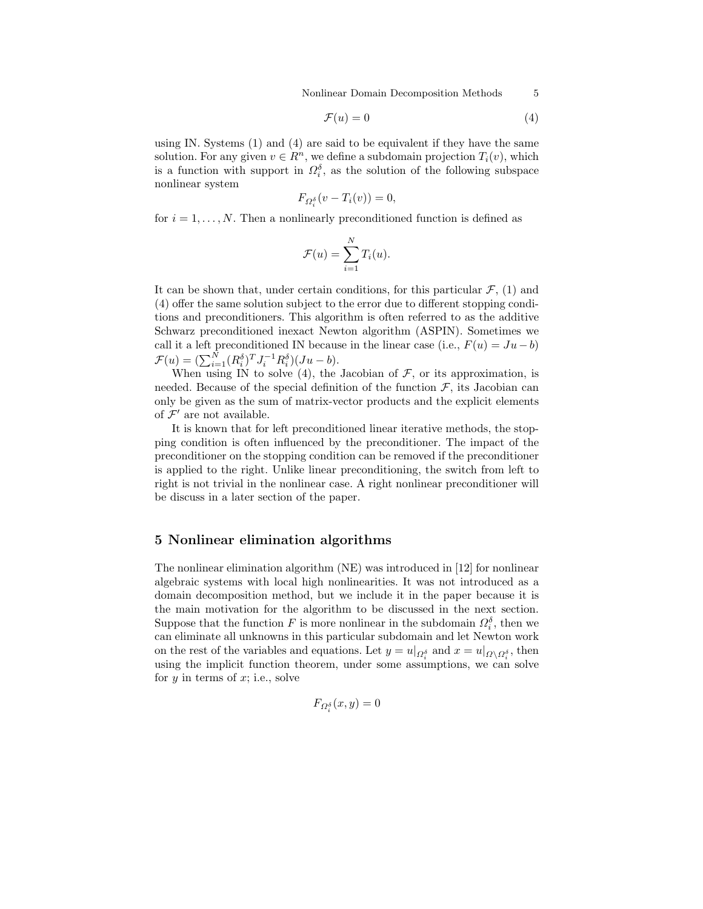Nonlinear Domain Decomposition Methods 5

$$
\mathcal{F}(u) = 0\tag{4}
$$

using IN. Systems  $(1)$  and  $(4)$  are said to be equivalent if they have the same solution. For any given  $v \in \mathbb{R}^n$ , we define a subdomain projection  $T_i(v)$ , which is a function with support in  $\Omega_i^{\delta}$ , as the solution of the following subspace nonlinear system

$$
F_{\Omega_i^{\delta}}(v - T_i(v)) = 0,
$$

for  $i = 1, \ldots, N$ . Then a nonlinearly preconditioned function is defined as

$$
\mathcal{F}(u) = \sum_{i=1}^{N} T_i(u).
$$

It can be shown that, under certain conditions, for this particular  $\mathcal{F}$ , (1) and (4) offer the same solution subject to the error due to different stopping conditions and preconditioners. This algorithm is often referred to as the additive Schwarz preconditioned inexact Newton algorithm (ASPIN). Sometimes we call it a left preconditioned IN because in the linear case (i.e.,  $F(u) = Ju - b$ )  $\mathcal{F}(u) = \left(\sum_{i=1}^N (R_i^{\delta})^T J_i^{-1} R_i^{\delta}\right) (Ju - b).$ 

When using IN to solve (4), the Jacobian of  $\mathcal F$ , or its approximation, is needed. Because of the special definition of the function  $\mathcal F$ , its Jacobian can only be given as the sum of matrix-vector products and the explicit elements of  $\mathcal{F}'$  are not available.

It is known that for left preconditioned linear iterative methods, the stopping condition is often influenced by the preconditioner. The impact of the preconditioner on the stopping condition can be removed if the preconditioner is applied to the right. Unlike linear preconditioning, the switch from left to right is not trivial in the nonlinear case. A right nonlinear preconditioner will be discuss in a later section of the paper.

#### 5 Nonlinear elimination algorithms

The nonlinear elimination algorithm (NE) was introduced in [12] for nonlinear algebraic systems with local high nonlinearities. It was not introduced as a domain decomposition method, but we include it in the paper because it is the main motivation for the algorithm to be discussed in the next section. Suppose that the function F is more nonlinear in the subdomain  $\Omega_i^{\delta}$ , then we can eliminate all unknowns in this particular subdomain and let Newton work on the rest of the variables and equations. Let  $y = u|_{\Omega_i^{\delta}}$  and  $x = u|_{\Omega \setminus \Omega_i^{\delta}}$ , then using the implicit function theorem, under some assumptions, we can solve for  $y$  in terms of  $x$ ; i.e., solve

$$
F_{\Omega_i^{\delta}}(x,y) = 0
$$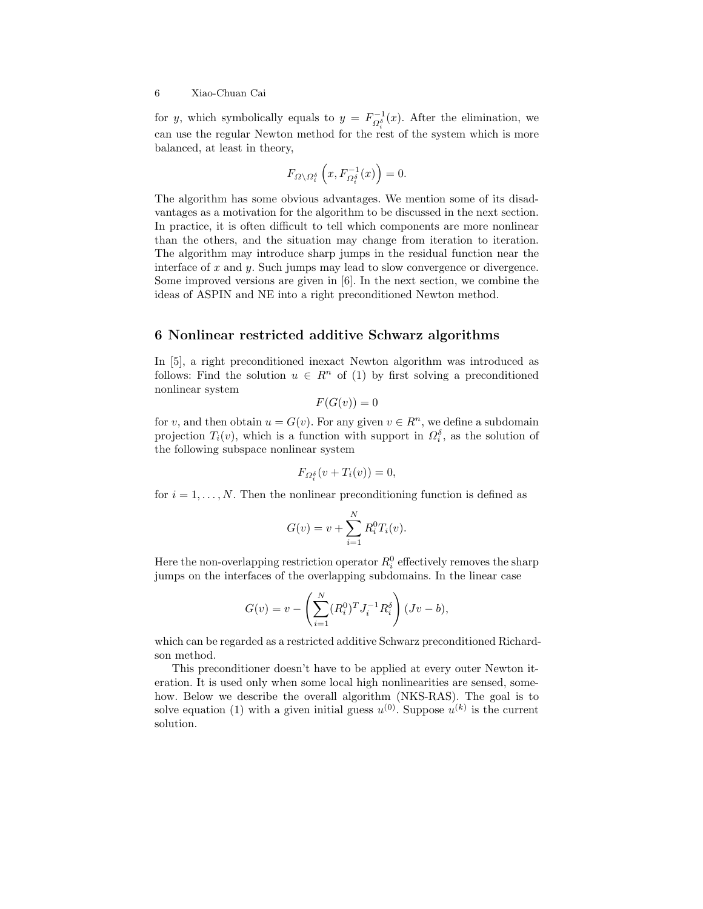for y, which symbolically equals to  $y = F^{-1}_{\Omega_i^{\delta}}(x)$ . After the elimination, we can use the regular Newton method for the rest of the system which is more balanced, at least in theory,

$$
F_{\varOmega\backslash\varOmega_{i}^{\delta}}\left(x,F_{\varOmega_{i}^{\delta}}^{-1}(x)\right)=0.
$$

The algorithm has some obvious advantages. We mention some of its disadvantages as a motivation for the algorithm to be discussed in the next section. In practice, it is often difficult to tell which components are more nonlinear than the others, and the situation may change from iteration to iteration. The algorithm may introduce sharp jumps in the residual function near the interface of  $x$  and  $y$ . Such jumps may lead to slow convergence or divergence. Some improved versions are given in [6]. In the next section, we combine the ideas of ASPIN and NE into a right preconditioned Newton method.

#### 6 Nonlinear restricted additive Schwarz algorithms

In [5], a right preconditioned inexact Newton algorithm was introduced as follows: Find the solution  $u \in R^n$  of (1) by first solving a preconditioned nonlinear system

$$
F(G(v)) = 0
$$

for v, and then obtain  $u = G(v)$ . For any given  $v \in R<sup>n</sup>$ , we define a subdomain projection  $T_i(v)$ , which is a function with support in  $\Omega_i^{\delta}$ , as the solution of the following subspace nonlinear system

$$
F_{\Omega_i^{\delta}}(v+T_i(v))=0,
$$

for  $i = 1, \ldots, N$ . Then the nonlinear preconditioning function is defined as

$$
G(v) = v + \sum_{i=1}^{N} R_i^0 T_i(v).
$$

Here the non-overlapping restriction operator  $R_i^0$  effectively removes the sharp jumps on the interfaces of the overlapping subdomains. In the linear case

$$
G(v) = v - \left(\sum_{i=1}^{N} (R_i^0)^T J_i^{-1} R_i^{\delta}\right) (Jv - b),
$$

which can be regarded as a restricted additive Schwarz preconditioned Richardson method.

This preconditioner doesn't have to be applied at every outer Newton iteration. It is used only when some local high nonlinearities are sensed, somehow. Below we describe the overall algorithm (NKS-RAS). The goal is to solve equation (1) with a given initial guess  $u^{(0)}$ . Suppose  $u^{(k)}$  is the current solution.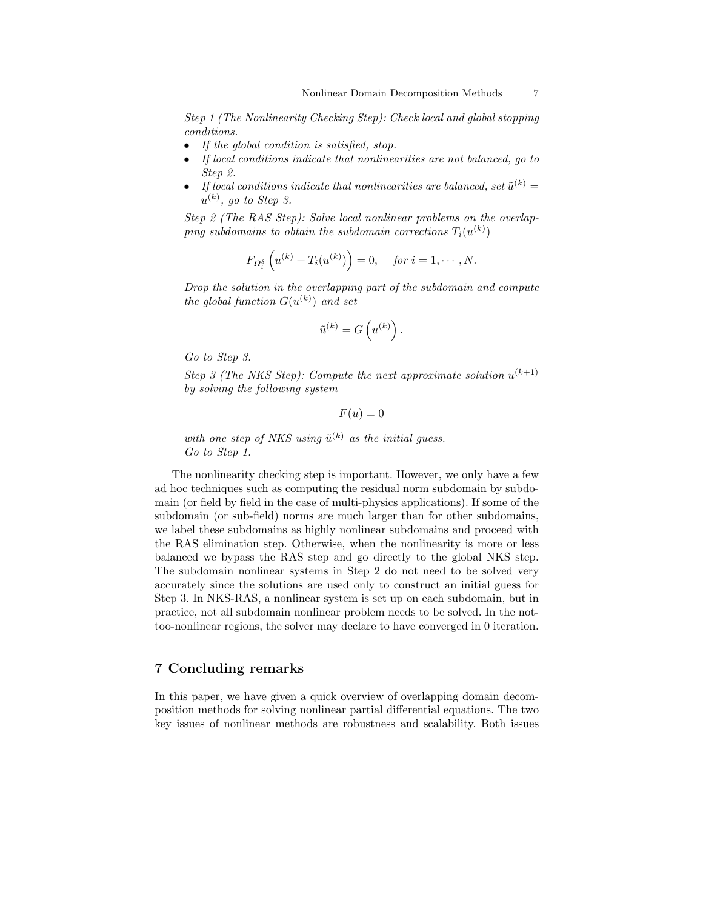Step 1 (The Nonlinearity Checking Step): Check local and global stopping conditions.

- If the global condition is satisfied, stop.
- If local conditions indicate that nonlinearities are not balanced, go to Step 2.
- If local conditions indicate that nonlinearities are balanced, set  $\tilde{u}^{(k)} =$  $u^{(k)}$ , go to Step 3.

Step 2 (The RAS Step): Solve local nonlinear problems on the overlap- $\emph{ping subdomains to obtain the subdomain corrections} \emph{T}_i(u^{(k)})$ 

$$
F_{\Omega_i^{\delta}}\left(u^{(k)} + T_i(u^{(k)})\right) = 0, \quad \text{for } i = 1, \cdots, N.
$$

Drop the solution in the overlapping part of the subdomain and compute the global function  $G(u^{(k)})$  and set

$$
\tilde{u}^{(k)}=G\left(u^{(k)}\right).
$$

Go to Step 3.

Step 3 (The NKS Step): Compute the next approximate solution  $u^{(k+1)}$ by solving the following system

 $F(u) = 0$ 

with one step of NKS using  $\tilde{u}^{(k)}$  as the initial guess. Go to Step 1.

The nonlinearity checking step is important. However, we only have a few ad hoc techniques such as computing the residual norm subdomain by subdomain (or field by field in the case of multi-physics applications). If some of the subdomain (or sub-field) norms are much larger than for other subdomains, we label these subdomains as highly nonlinear subdomains and proceed with the RAS elimination step. Otherwise, when the nonlinearity is more or less balanced we bypass the RAS step and go directly to the global NKS step. The subdomain nonlinear systems in Step 2 do not need to be solved very accurately since the solutions are used only to construct an initial guess for Step 3. In NKS-RAS, a nonlinear system is set up on each subdomain, but in practice, not all subdomain nonlinear problem needs to be solved. In the nottoo-nonlinear regions, the solver may declare to have converged in 0 iteration.

### 7 Concluding remarks

In this paper, we have given a quick overview of overlapping domain decomposition methods for solving nonlinear partial differential equations. The two key issues of nonlinear methods are robustness and scalability. Both issues